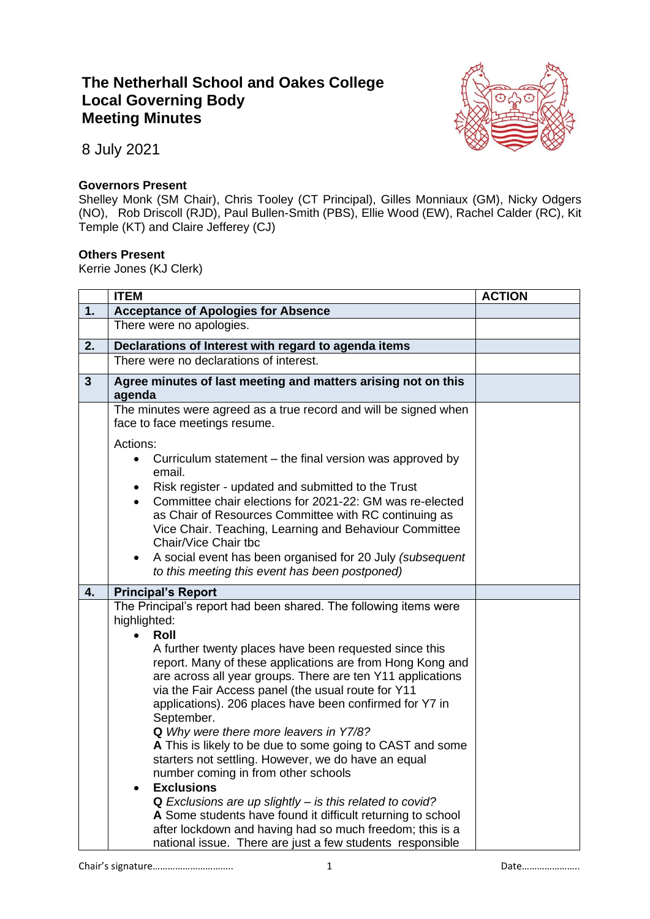## **The Netherhall School and Oakes College Local Governing Body Meeting Minutes**



8 July 2021

## **Governors Present**

Shelley Monk (SM Chair), Chris Tooley (CT Principal), Gilles Monniaux (GM), Nicky Odgers (NO), Rob Driscoll (RJD), Paul Bullen-Smith (PBS), Ellie Wood (EW), Rachel Calder (RC), Kit Temple (KT) and Claire Jefferey (CJ)

## **Others Present**

Kerrie Jones (KJ Clerk)

|              | <b>ITEM</b>                                                                                                                                                                                                                                                                                                                                                                                                                                                                                                                                                                                                                                                                                                                                                                                                                                                                                                          | <b>ACTION</b> |
|--------------|----------------------------------------------------------------------------------------------------------------------------------------------------------------------------------------------------------------------------------------------------------------------------------------------------------------------------------------------------------------------------------------------------------------------------------------------------------------------------------------------------------------------------------------------------------------------------------------------------------------------------------------------------------------------------------------------------------------------------------------------------------------------------------------------------------------------------------------------------------------------------------------------------------------------|---------------|
| 1.           | <b>Acceptance of Apologies for Absence</b>                                                                                                                                                                                                                                                                                                                                                                                                                                                                                                                                                                                                                                                                                                                                                                                                                                                                           |               |
|              | There were no apologies.                                                                                                                                                                                                                                                                                                                                                                                                                                                                                                                                                                                                                                                                                                                                                                                                                                                                                             |               |
| 2.           | Declarations of Interest with regard to agenda items                                                                                                                                                                                                                                                                                                                                                                                                                                                                                                                                                                                                                                                                                                                                                                                                                                                                 |               |
|              | There were no declarations of interest.                                                                                                                                                                                                                                                                                                                                                                                                                                                                                                                                                                                                                                                                                                                                                                                                                                                                              |               |
| $\mathbf{3}$ | Agree minutes of last meeting and matters arising not on this<br>agenda                                                                                                                                                                                                                                                                                                                                                                                                                                                                                                                                                                                                                                                                                                                                                                                                                                              |               |
|              | The minutes were agreed as a true record and will be signed when<br>face to face meetings resume.                                                                                                                                                                                                                                                                                                                                                                                                                                                                                                                                                                                                                                                                                                                                                                                                                    |               |
|              | Actions:<br>Curriculum statement – the final version was approved by<br>$\bullet$<br>email.<br>Risk register - updated and submitted to the Trust<br>Committee chair elections for 2021-22: GM was re-elected<br>$\bullet$<br>as Chair of Resources Committee with RC continuing as<br>Vice Chair. Teaching, Learning and Behaviour Committee<br>Chair/Vice Chair the<br>A social event has been organised for 20 July (subsequent<br>to this meeting this event has been postponed)                                                                                                                                                                                                                                                                                                                                                                                                                                 |               |
| 4.           | <b>Principal's Report</b>                                                                                                                                                                                                                                                                                                                                                                                                                                                                                                                                                                                                                                                                                                                                                                                                                                                                                            |               |
|              | The Principal's report had been shared. The following items were<br>highlighted:<br>Roll<br>$\bullet$<br>A further twenty places have been requested since this<br>report. Many of these applications are from Hong Kong and<br>are across all year groups. There are ten Y11 applications<br>via the Fair Access panel (the usual route for Y11<br>applications). 206 places have been confirmed for Y7 in<br>September.<br>Q Why were there more leavers in Y7/8?<br>A This is likely to be due to some going to CAST and some<br>starters not settling. However, we do have an equal<br>number coming in from other schools<br><b>Exclusions</b><br>$\bullet$<br>Q Exclusions are up slightly - is this related to covid?<br>A Some students have found it difficult returning to school<br>after lockdown and having had so much freedom; this is a<br>national issue. There are just a few students responsible |               |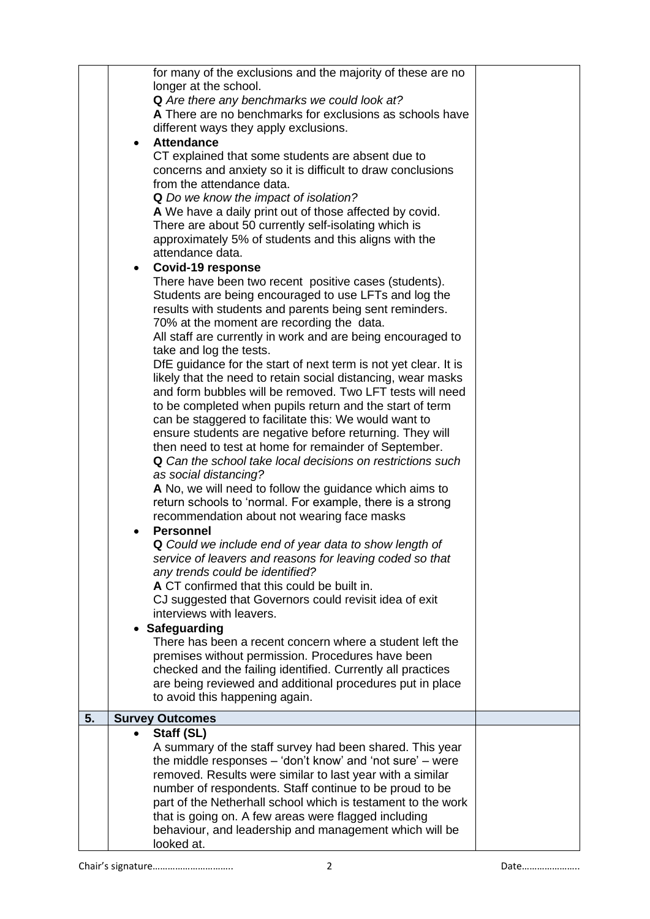| Q Could we include end of year data to show length of<br>service of leavers and reasons for leaving coded so that<br>any trends could be identified?<br>A CT confirmed that this could be built in.<br>CJ suggested that Governors could revisit idea of exit<br>interviews with leavers.<br>• Safeguarding<br>There has been a recent concern where a student left the<br>premises without permission. Procedures have been<br>checked and the failing identified. Currently all practices                                                                                                                                                                                                                                                                                                                                                                                                                                                                                                                                                                                           |  |
|---------------------------------------------------------------------------------------------------------------------------------------------------------------------------------------------------------------------------------------------------------------------------------------------------------------------------------------------------------------------------------------------------------------------------------------------------------------------------------------------------------------------------------------------------------------------------------------------------------------------------------------------------------------------------------------------------------------------------------------------------------------------------------------------------------------------------------------------------------------------------------------------------------------------------------------------------------------------------------------------------------------------------------------------------------------------------------------|--|
| <b>Covid-19 response</b><br>$\bullet$<br>There have been two recent positive cases (students).<br>Students are being encouraged to use LFTs and log the<br>results with students and parents being sent reminders.<br>70% at the moment are recording the data.<br>All staff are currently in work and are being encouraged to<br>take and log the tests.<br>DfE guidance for the start of next term is not yet clear. It is<br>likely that the need to retain social distancing, wear masks<br>and form bubbles will be removed. Two LFT tests will need<br>to be completed when pupils return and the start of term<br>can be staggered to facilitate this: We would want to<br>ensure students are negative before returning. They will<br>then need to test at home for remainder of September.<br>Q Can the school take local decisions on restrictions such<br>as social distancing?<br>A No, we will need to follow the guidance which aims to<br>return schools to 'normal. For example, there is a strong<br>recommendation about not wearing face masks<br><b>Personnel</b> |  |
| for many of the exclusions and the majority of these are no<br>longer at the school.<br>Q Are there any benchmarks we could look at?<br>A There are no benchmarks for exclusions as schools have<br>different ways they apply exclusions.<br><b>Attendance</b><br>$\bullet$<br>CT explained that some students are absent due to<br>concerns and anxiety so it is difficult to draw conclusions<br>from the attendance data.<br>Q Do we know the impact of isolation?<br>A We have a daily print out of those affected by covid.<br>There are about 50 currently self-isolating which is<br>approximately 5% of students and this aligns with the<br>attendance data.                                                                                                                                                                                                                                                                                                                                                                                                                 |  |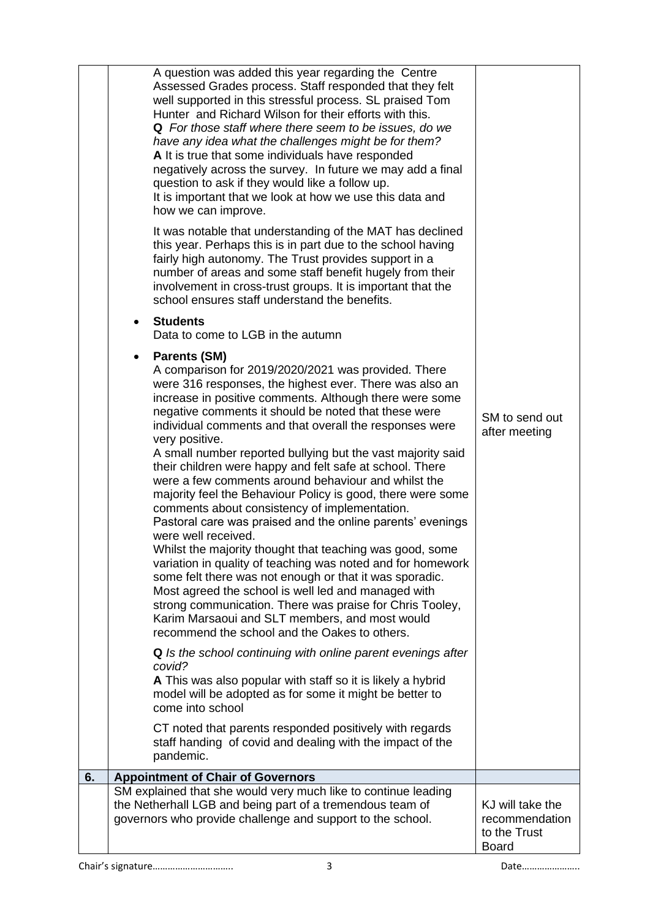|    | A question was added this year regarding the Centre<br>Assessed Grades process. Staff responded that they felt<br>well supported in this stressful process. SL praised Tom<br>Hunter and Richard Wilson for their efforts with this.<br>Q For those staff where there seem to be issues, do we<br>have any idea what the challenges might be for them?<br>A It is true that some individuals have responded<br>negatively across the survey. In future we may add a final<br>question to ask if they would like a follow up.<br>It is important that we look at how we use this data and<br>how we can improve.<br>It was notable that understanding of the MAT has declined<br>this year. Perhaps this is in part due to the school having<br>fairly high autonomy. The Trust provides support in a<br>number of areas and some staff benefit hugely from their<br>involvement in cross-trust groups. It is important that the<br>school ensures staff understand the benefits.<br><b>Students</b><br>$\bullet$<br>Data to come to LGB in the autumn<br><b>Parents (SM)</b><br>$\bullet$<br>A comparison for 2019/2020/2021 was provided. There<br>were 316 responses, the highest ever. There was also an<br>increase in positive comments. Although there were some<br>negative comments it should be noted that these were<br>individual comments and that overall the responses were<br>very positive.<br>A small number reported bullying but the vast majority said<br>their children were happy and felt safe at school. There<br>were a few comments around behaviour and whilst the<br>majority feel the Behaviour Policy is good, there were some<br>comments about consistency of implementation.<br>Pastoral care was praised and the online parents' evenings<br>were well received.<br>Whilst the majority thought that teaching was good, some<br>variation in quality of teaching was noted and for homework<br>some felt there was not enough or that it was sporadic.<br>Most agreed the school is well led and managed with<br>strong communication. There was praise for Chris Tooley,<br>Karim Marsaoui and SLT members, and most would<br>recommend the school and the Oakes to others.<br>Q Is the school continuing with online parent evenings after<br>covid?<br>A This was also popular with staff so it is likely a hybrid<br>model will be adopted as for some it might be better to<br>come into school<br>CT noted that parents responded positively with regards<br>staff handing of covid and dealing with the impact of the<br>pandemic. | SM to send out<br>after meeting                                    |
|----|-----------------------------------------------------------------------------------------------------------------------------------------------------------------------------------------------------------------------------------------------------------------------------------------------------------------------------------------------------------------------------------------------------------------------------------------------------------------------------------------------------------------------------------------------------------------------------------------------------------------------------------------------------------------------------------------------------------------------------------------------------------------------------------------------------------------------------------------------------------------------------------------------------------------------------------------------------------------------------------------------------------------------------------------------------------------------------------------------------------------------------------------------------------------------------------------------------------------------------------------------------------------------------------------------------------------------------------------------------------------------------------------------------------------------------------------------------------------------------------------------------------------------------------------------------------------------------------------------------------------------------------------------------------------------------------------------------------------------------------------------------------------------------------------------------------------------------------------------------------------------------------------------------------------------------------------------------------------------------------------------------------------------------------------------------------------------------------------------------------------------------------------------------------------------------------------------------------------------------------------------------------------------------------------------------------------------------------------------------------------------------------------------------------------------------------------------------------------------------------------------------------------------------------------------------------------------------|--------------------------------------------------------------------|
| 6. | <b>Appointment of Chair of Governors</b>                                                                                                                                                                                                                                                                                                                                                                                                                                                                                                                                                                                                                                                                                                                                                                                                                                                                                                                                                                                                                                                                                                                                                                                                                                                                                                                                                                                                                                                                                                                                                                                                                                                                                                                                                                                                                                                                                                                                                                                                                                                                                                                                                                                                                                                                                                                                                                                                                                                                                                                                    |                                                                    |
|    | SM explained that she would very much like to continue leading<br>the Netherhall LGB and being part of a tremendous team of<br>governors who provide challenge and support to the school.                                                                                                                                                                                                                                                                                                                                                                                                                                                                                                                                                                                                                                                                                                                                                                                                                                                                                                                                                                                                                                                                                                                                                                                                                                                                                                                                                                                                                                                                                                                                                                                                                                                                                                                                                                                                                                                                                                                                                                                                                                                                                                                                                                                                                                                                                                                                                                                   | KJ will take the<br>recommendation<br>to the Trust<br><b>Board</b> |